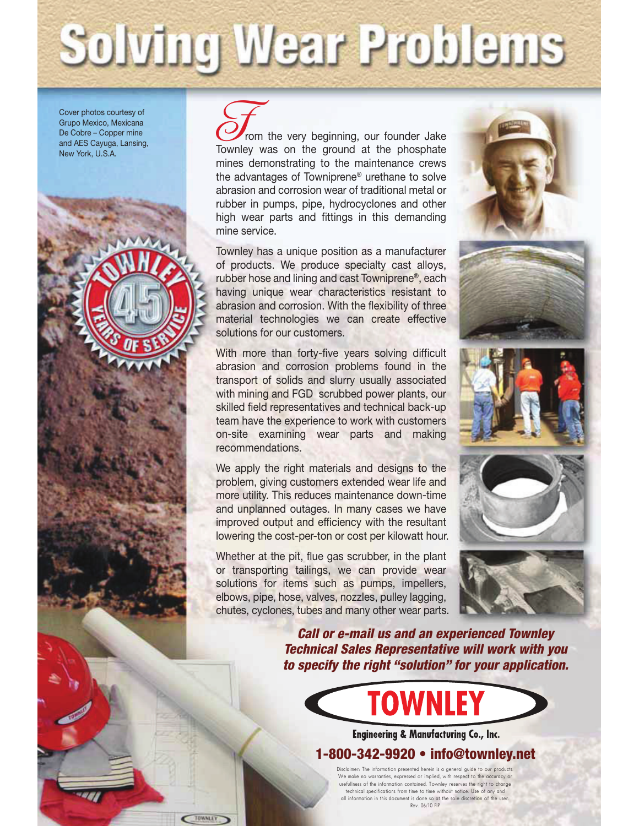# Solving Wear Problems

Cover photos courtesy of Grupo Mexico, Mexicana De Cobre – Copper mine and AES Cayuga, Lansing, New York, U.S.A.

rom the very beginning, our founder Jake Townley was on the ground at the phosphate mines demonstrating to the maintenance crews the advantages of Towniprene® urethane to solve abrasion and corrosion wear of traditional metal or rubber in pumps, pipe, hydrocyclones and other high wear parts and fittings in this demanding mine service.

Townley has a unique position as a manufacturer of products. We produce specialty cast alloys, rubber hose and lining and cast Towniprene®, each having unique wear characteristics resistant to abrasion and corrosion. With the flexibility of three material technologies we can create effective solutions for our customers.

With more than forty-five years solving difficult abrasion and corrosion problems found in the transport of solids and slurry usually associated with mining and FGD scrubbed power plants, our skilled field representatives and technical back-up team have the experience to work with customers on-site examining wear parts and making recommendations.

We apply the right materials and designs to the problem, giving customers extended wear life and more utility. This reduces maintenance down-time and unplanned outages. In many cases we have improved output and efficiency with the resultant lowering the cost-per-ton or cost per kilowatt hour.

Whether at the pit, flue gas scrubber, in the plant or transporting tailings, we can provide wear solutions for items such as pumps, impellers, elbows, pipe, hose, valves, nozzles, pulley lagging, chutes, cyclones, tubes and many other wear parts.

TOWNLEY











Call or e-mail us and an experienced Townley Technical Sales Representative will work with you to specify the right "solution" for your application.



**Engineering & Manufacturing Co., Inc.** 

#### 1-800-342-9920 • info@townley.net

*Disclaimer: The information presented herein is a general guide to our products. We make no warranties, expressed or implied, with respect to the accuracy or usefullness of the information contained. Townley reserves the right to change technical specifications from time to time without notice. Use of any and all information in this document is done so at the sole discretion of the user. Rev. 06/10 FIP*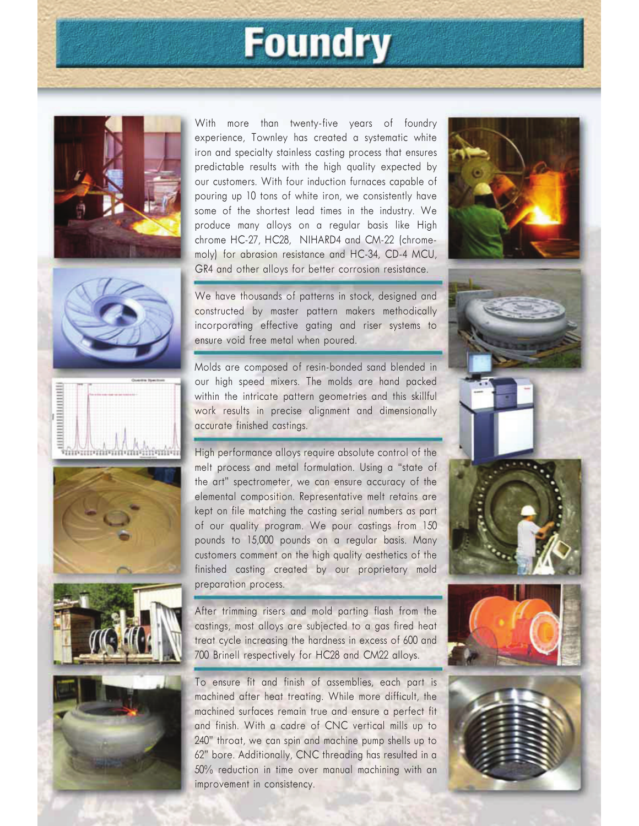### **Foundry**













*With more than twenty-five years of foundry experience, Townley has created a systematic white iron and specialty stainless casting process that ensures predictable results with the high quality expected by our customers. With four induction furnaces capable of pouring up 10 tons of white iron, we consistently have some of the shortest lead times in the industry. We produce many alloys on a regular basis like High chrome HC-27, HC28, NIHARD4 and CM-22 (chromemoly) for abrasion resistance and HC-34, CD-4 MCU, GR4 and other alloys for better corrosion resistance.*

*We have thousands of patterns in stock, designed and constructed by master pattern makers methodically incorporating effective gating and riser systems to ensure void free metal when poured.*

*Molds are composed of resin-bonded sand blended in our high speed mixers. The molds are hand packed within the intricate pattern geometries and this skillful work results in precise alignment and dimensionally accurate finished castings.*

*High performance alloys require absolute control of the melt process and metal formulation. Using a "state of the art" spectrometer, we can ensure accuracy of the elemental composition. Representative melt retains are kept on file matching the casting serial numbers as part of our quality program. We pour castings from 150 pounds to 15,000 pounds on a regular basis. Many customers comment on the high quality aesthetics of the finished casting created by our proprietary mold preparation process.*

*After trimming risers and mold parting flash from the castings, most alloys are subjected to a gas fired heat treat cycle increasing the hardness in excess of 600 and 700 Brinell respectively for HC28 and CM22 alloys.*

*To ensure fit and finish of assemblies, each part is machined after heat treating. While more difficult, the machined surfaces remain true and ensure a perfect fit and finish. With a cadre of CNC vertical mills up to 240" throat, we can spin and machine pump shells up to 62" bore. Additionally, CNC threading has resulted in a 50% reduction in time over manual machining with an improvement in consistency.*